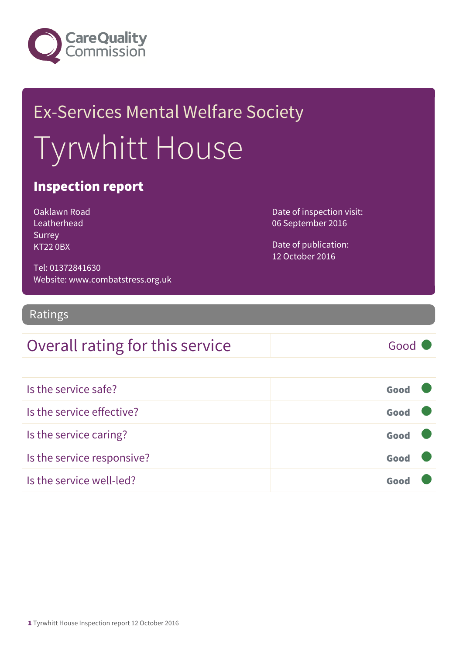

# Ex-Services Mental Welfare Society Tyrwhitt House

#### Inspection report

Oaklawn Road Leatherhead Surrey KT22 0BX

Date of inspection visit: 06 September 2016

Date of publication: 12 October 2016

Tel: 01372841630 Website: www.combatstress.org.uk

#### Ratings

### Overall rating for this service Good

| Is the service safe?       | Good |  |
|----------------------------|------|--|
| Is the service effective?  | Good |  |
| Is the service caring?     | Good |  |
| Is the service responsive? | Good |  |
| Is the service well-led?   | Goo  |  |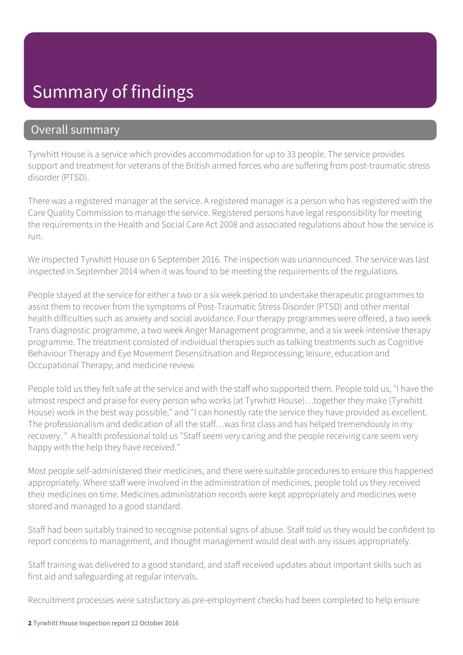# Summary of findings

#### Overall summary

Tyrwhitt House is a service which provides accommodation for up to 33 people. The service provides support and treatment for veterans of the British armed forces who are suffering from post-traumatic stress disorder (PTSD).

There was a registered manager at the service. A registered manager is a person who has registered with the Care Quality Commission to manage the service. Registered persons have legal responsibility for meeting the requirements in the Health and Social Care Act 2008 and associated regulations about how the service is run.

We inspected Tyrwhitt House on 6 September 2016. The inspection was unannounced. The service was last inspected in September 2014 when it was found to be meeting the requirements of the regulations.

People stayed at the service for either a two or a six week period to undertake therapeutic programmes to assist them to recover from the symptoms of Post-Traumatic Stress Disorder (PTSD) and other mental health difficulties such as anxiety and social avoidance. Four therapy programmes were offered, a two week Trans diagnostic programme, a two week Anger Management programme, and a six week intensive therapy programme. The treatment consisted of individual therapies such as talking treatments such as Cognitive Behaviour Therapy and Eye Movement Desensitisation and Reprocessing; leisure, education and Occupational Therapy; and medicine review.

People told us they felt safe at the service and with the staff who supported them. People told us, "I have the utmost respect and praise for every person who works (at Tyrwhitt House)…together they make (Tyrwhitt House) work in the best way possible," and "I can honestly rate the service they have provided as excellent. The professionalism and dedication of all the staff…was first class and has helped tremendously in my recovery. " A health professional told us "Staff seem very caring and the people receiving care seem very happy with the help they have received."

Most people self-administered their medicines, and there were suitable procedures to ensure this happened appropriately. Where staff were involved in the administration of medicines, people told us they received their medicines on time. Medicines administration records were kept appropriately and medicines were stored and managed to a good standard.

Staff had been suitably trained to recognise potential signs of abuse. Staff told us they would be confident to report concerns to management, and thought management would deal with any issues appropriately.

Staff training was delivered to a good standard, and staff received updates about important skills such as first aid and safeguarding at regular intervals.

Recruitment processes were satisfactory as pre-employment checks had been completed to help ensure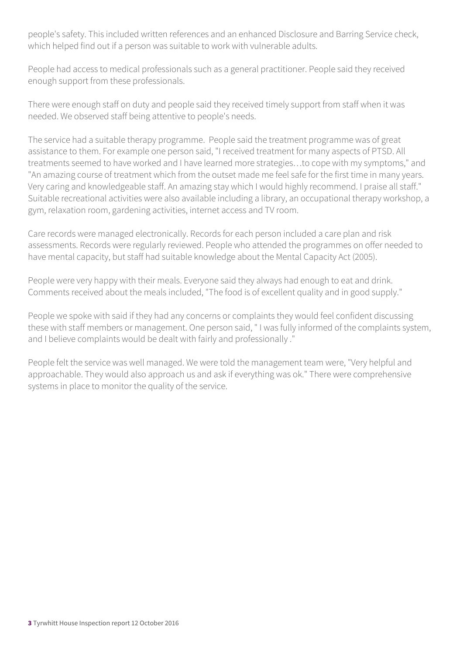people's safety. This included written references and an enhanced Disclosure and Barring Service check, which helped find out if a person was suitable to work with vulnerable adults.

People had access to medical professionals such as a general practitioner. People said they received enough support from these professionals.

There were enough staff on duty and people said they received timely support from staff when it was needed. We observed staff being attentive to people's needs.

The service had a suitable therapy programme. People said the treatment programme was of great assistance to them. For example one person said, "I received treatment for many aspects of PTSD. All treatments seemed to have worked and I have learned more strategies…to cope with my symptoms," and "An amazing course of treatment which from the outset made me feel safe for the first time in many years. Very caring and knowledgeable staff. An amazing stay which I would highly recommend. I praise all staff." Suitable recreational activities were also available including a library, an occupational therapy workshop, a gym, relaxation room, gardening activities, internet access and TV room.

Care records were managed electronically. Records for each person included a care plan and risk assessments. Records were regularly reviewed. People who attended the programmes on offer needed to have mental capacity, but staff had suitable knowledge about the Mental Capacity Act (2005).

People were very happy with their meals. Everyone said they always had enough to eat and drink. Comments received about the meals included, "The food is of excellent quality and in good supply."

People we spoke with said if they had any concerns or complaints they would feel confident discussing these with staff members or management. One person said, " I was fully informed of the complaints system, and I believe complaints would be dealt with fairly and professionally ."

People felt the service was well managed. We were told the management team were, "Very helpful and approachable. They would also approach us and ask if everything was ok." There were comprehensive systems in place to monitor the quality of the service.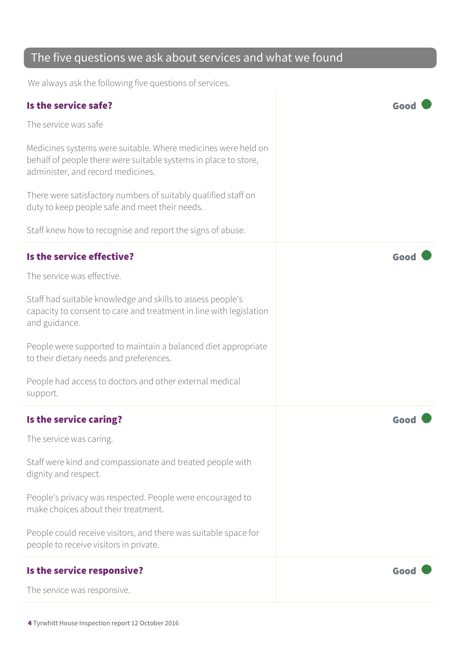### The five questions we ask about services and what we found

We always ask the following five questions of services.

| Is the service safe?                                                                                                                                                  | Good |
|-----------------------------------------------------------------------------------------------------------------------------------------------------------------------|------|
| The service was safe                                                                                                                                                  |      |
| Medicines systems were suitable. Where medicines were held on<br>behalf of people there were suitable systems in place to store,<br>administer, and record medicines. |      |
| There were satisfactory numbers of suitably qualified staff on<br>duty to keep people safe and meet their needs.                                                      |      |
| Staff knew how to recognise and report the signs of abuse.                                                                                                            |      |
| Is the service effective?                                                                                                                                             | Good |
| The service was effective.                                                                                                                                            |      |
| Staff had suitable knowledge and skills to assess people's<br>capacity to consent to care and treatment in line with legislation<br>and guidance.                     |      |
| People were supported to maintain a balanced diet appropriate<br>to their dietary needs and preferences.                                                              |      |
| People had access to doctors and other external medical<br>support.                                                                                                   |      |
| Is the service caring?                                                                                                                                                | Goo  |
| The service was caring.                                                                                                                                               |      |
| Staff were kind and compassionate and treated people with<br>dignity and respect.                                                                                     |      |
| People's privacy was respected. People were encouraged to<br>make choices about their treatment.                                                                      |      |
| People could receive visitors, and there was suitable space for<br>people to receive visitors in private.                                                             |      |
| Is the service responsive?                                                                                                                                            | Good |
| The service was responsive.                                                                                                                                           |      |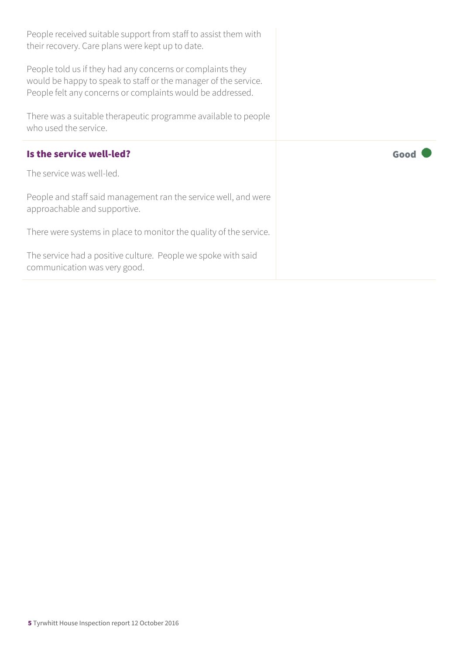| People received suitable support from staff to assist them with<br>their recovery. Care plans were kept up to date.                                                                         |      |
|---------------------------------------------------------------------------------------------------------------------------------------------------------------------------------------------|------|
| People told us if they had any concerns or complaints they<br>would be happy to speak to staff or the manager of the service.<br>People felt any concerns or complaints would be addressed. |      |
| There was a suitable therapeutic programme available to people<br>who used the service.                                                                                                     |      |
|                                                                                                                                                                                             |      |
| Is the service well-led?                                                                                                                                                                    | Good |
| The service was well-led.                                                                                                                                                                   |      |
| People and staff said management ran the service well, and were<br>approachable and supportive.                                                                                             |      |
| There were systems in place to monitor the quality of the service.                                                                                                                          |      |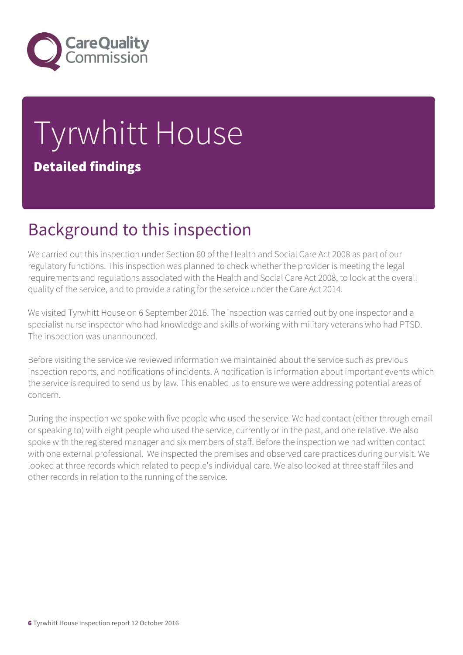

# Tyrwhitt House Detailed findings

# Background to this inspection

We carried out this inspection under Section 60 of the Health and Social Care Act 2008 as part of our regulatory functions. This inspection was planned to check whether the provider is meeting the legal requirements and regulations associated with the Health and Social Care Act 2008, to look at the overall quality of the service, and to provide a rating for the service under the Care Act 2014.

We visited Tyrwhitt House on 6 September 2016. The inspection was carried out by one inspector and a specialist nurse inspector who had knowledge and skills of working with military veterans who had PTSD. The inspection was unannounced.

Before visiting the service we reviewed information we maintained about the service such as previous inspection reports, and notifications of incidents. A notification is information about important events which the service is required to send us by law. This enabled us to ensure we were addressing potential areas of concern.

During the inspection we spoke with five people who used the service. We had contact (either through email or speaking to) with eight people who used the service, currently or in the past, and one relative. We also spoke with the registered manager and six members of staff. Before the inspection we had written contact with one external professional. We inspected the premises and observed care practices during our visit. We looked at three records which related to people's individual care. We also looked at three staff files and other records in relation to the running of the service.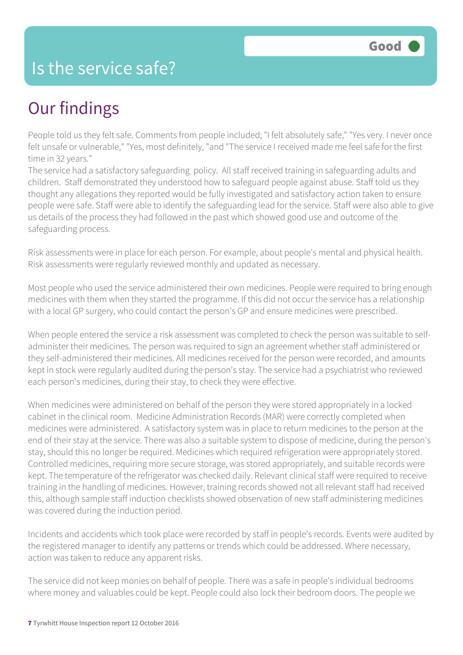## Is the service safe?

# Our findings

People told us they felt safe. Comments from people included; "I felt absolutely safe," "Yes very. I never once felt unsafe or vulnerable," "Yes, most definitely, "and "The service I received made me feel safe for the first time in 32 years."

The service had a satisfactory safeguarding policy. All staff received training in safeguarding adults and children. Staff demonstrated they understood how to safeguard people against abuse. Staff told us they thought any allegations they reported would be fully investigated and satisfactory action taken to ensure people were safe. Staff were able to identify the safeguarding lead for the service. Staff were also able to give us details of the process they had followed in the past which showed good use and outcome of the safeguarding process.

Risk assessments were in place for each person. For example, about people's mental and physical health. Risk assessments were regularly reviewed monthly and updated as necessary.

Most people who used the service administered their own medicines. People were required to bring enough medicines with them when they started the programme. If this did not occur the service has a relationship with a local GP surgery, who could contact the person's GP and ensure medicines were prescribed.

When people entered the service a risk assessment was completed to check the person was suitable to selfadminister their medicines. The person was required to sign an agreement whether staff administered or they self-administered their medicines. All medicines received for the person were recorded, and amounts kept in stock were regularly audited during the person's stay. The service had a psychiatrist who reviewed each person's medicines, during their stay, to check they were effective.

When medicines were administered on behalf of the person they were stored appropriately in a locked cabinet in the clinical room. Medicine Administration Records (MAR) were correctly completed when medicines were administered. A satisfactory system was in place to return medicines to the person at the end of their stay at the service. There was also a suitable system to dispose of medicine, during the person's stay, should this no longer be required. Medicines which required refrigeration were appropriately stored. Controlled medicines, requiring more secure storage, was stored appropriately, and suitable records were kept. The temperature of the refrigerator was checked daily. Relevant clinical staff were required to receive training in the handling of medicines. However, training records showed not all relevant staff had received this, although sample staff induction checklists showed observation of new staff administering medicines was covered during the induction period.

Incidents and accidents which took place were recorded by staff in people's records. Events were audited by the registered manager to identify any patterns or trends which could be addressed. Where necessary, action was taken to reduce any apparent risks.

The service did not keep monies on behalf of people. There was a safe in people's individual bedrooms where money and valuables could be kept. People could also lock their bedroom doors. The people we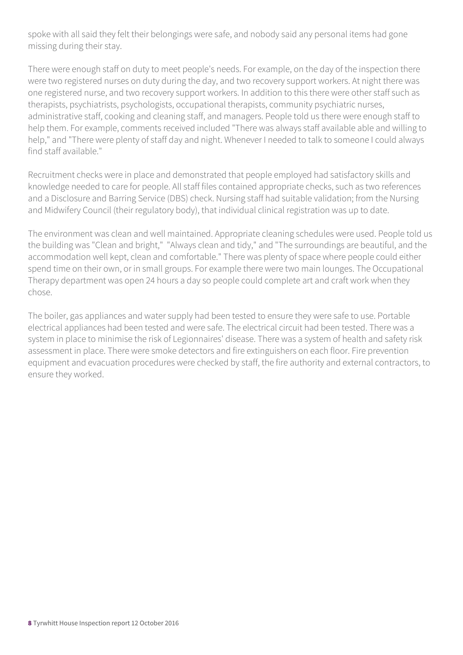spoke with all said they felt their belongings were safe, and nobody said any personal items had gone missing during their stay.

There were enough staff on duty to meet people's needs. For example, on the day of the inspection there were two registered nurses on duty during the day, and two recovery support workers. At night there was one registered nurse, and two recovery support workers. In addition to this there were other staff such as therapists, psychiatrists, psychologists, occupational therapists, community psychiatric nurses, administrative staff, cooking and cleaning staff, and managers. People told us there were enough staff to help them. For example, comments received included "There was always staff available able and willing to help," and "There were plenty of staff day and night. Whenever I needed to talk to someone I could always find staff available."

Recruitment checks were in place and demonstrated that people employed had satisfactory skills and knowledge needed to care for people. All staff files contained appropriate checks, such as two references and a Disclosure and Barring Service (DBS) check. Nursing staff had suitable validation; from the Nursing and Midwifery Council (their regulatory body), that individual clinical registration was up to date.

The environment was clean and well maintained. Appropriate cleaning schedules were used. People told us the building was "Clean and bright," "Always clean and tidy," and "The surroundings are beautiful, and the accommodation well kept, clean and comfortable." There was plenty of space where people could either spend time on their own, or in small groups. For example there were two main lounges. The Occupational Therapy department was open 24 hours a day so people could complete art and craft work when they chose.

The boiler, gas appliances and water supply had been tested to ensure they were safe to use. Portable electrical appliances had been tested and were safe. The electrical circuit had been tested. There was a system in place to minimise the risk of Legionnaires' disease. There was a system of health and safety risk assessment in place. There were smoke detectors and fire extinguishers on each floor. Fire prevention equipment and evacuation procedures were checked by staff, the fire authority and external contractors, to ensure they worked.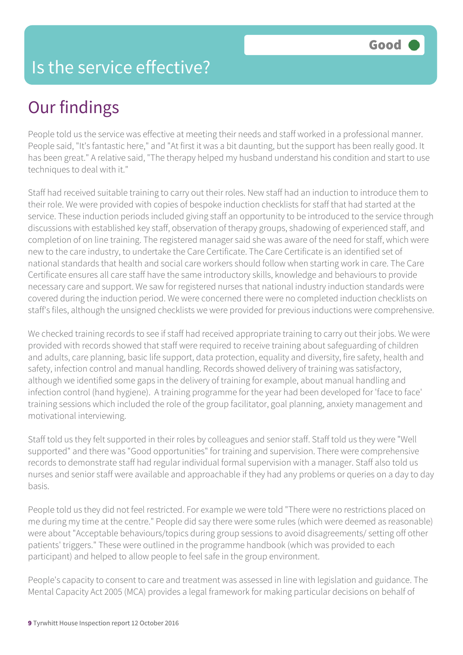# Is the service effective?

# Our findings

People told us the service was effective at meeting their needs and staff worked in a professional manner. People said, "It's fantastic here," and "At first it was a bit daunting, but the support has been really good. It has been great." A relative said, "The therapy helped my husband understand his condition and start to use techniques to deal with it."

Staff had received suitable training to carry out their roles. New staff had an induction to introduce them to their role. We were provided with copies of bespoke induction checklists for staff that had started at the service. These induction periods included giving staff an opportunity to be introduced to the service through discussions with established key staff, observation of therapy groups, shadowing of experienced staff, and completion of on line training. The registered manager said she was aware of the need for staff, which were new to the care industry, to undertake the Care Certificate. The Care Certificate is an identified set of national standards that health and social care workers should follow when starting work in care. The Care Certificate ensures all care staff have the same introductory skills, knowledge and behaviours to provide necessary care and support. We saw for registered nurses that national industry induction standards were covered during the induction period. We were concerned there were no completed induction checklists on staff's files, although the unsigned checklists we were provided for previous inductions were comprehensive.

We checked training records to see if staff had received appropriate training to carry out their jobs. We were provided with records showed that staff were required to receive training about safeguarding of children and adults, care planning, basic life support, data protection, equality and diversity, fire safety, health and safety, infection control and manual handling. Records showed delivery of training was satisfactory, although we identified some gaps in the delivery of training for example, about manual handling and infection control (hand hygiene). A training programme for the year had been developed for 'face to face' training sessions which included the role of the group facilitator, goal planning, anxiety management and motivational interviewing.

Staff told us they felt supported in their roles by colleagues and senior staff. Staff told us they were "Well supported" and there was "Good opportunities" for training and supervision. There were comprehensive records to demonstrate staff had regular individual formal supervision with a manager. Staff also told us nurses and senior staff were available and approachable if they had any problems or queries on a day to day basis.

People told us they did not feel restricted. For example we were told "There were no restrictions placed on me during my time at the centre." People did say there were some rules (which were deemed as reasonable) were about "Acceptable behaviours/topics during group sessions to avoid disagreements/ setting off other patients' triggers." These were outlined in the programme handbook (which was provided to each participant) and helped to allow people to feel safe in the group environment.

People's capacity to consent to care and treatment was assessed in line with legislation and guidance. The Mental Capacity Act 2005 (MCA) provides a legal framework for making particular decisions on behalf of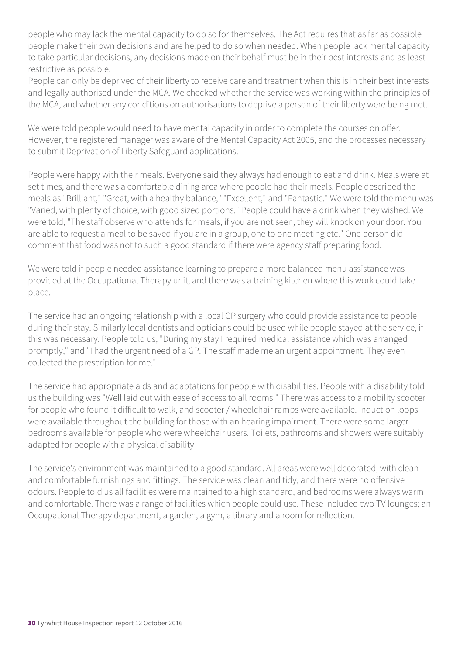people who may lack the mental capacity to do so for themselves. The Act requires that as far as possible people make their own decisions and are helped to do so when needed. When people lack mental capacity to take particular decisions, any decisions made on their behalf must be in their best interests and as least restrictive as possible.

People can only be deprived of their liberty to receive care and treatment when this is in their best interests and legally authorised under the MCA. We checked whether the service was working within the principles of the MCA, and whether any conditions on authorisations to deprive a person of their liberty were being met.

We were told people would need to have mental capacity in order to complete the courses on offer. However, the registered manager was aware of the Mental Capacity Act 2005, and the processes necessary to submit Deprivation of Liberty Safeguard applications.

People were happy with their meals. Everyone said they always had enough to eat and drink. Meals were at set times, and there was a comfortable dining area where people had their meals. People described the meals as "Brilliant," "Great, with a healthy balance," "Excellent," and "Fantastic." We were told the menu was "Varied, with plenty of choice, with good sized portions." People could have a drink when they wished. We were told, "The staff observe who attends for meals, if you are not seen, they will knock on your door. You are able to request a meal to be saved if you are in a group, one to one meeting etc." One person did comment that food was not to such a good standard if there were agency staff preparing food.

We were told if people needed assistance learning to prepare a more balanced menu assistance was provided at the Occupational Therapy unit, and there was a training kitchen where this work could take place.

The service had an ongoing relationship with a local GP surgery who could provide assistance to people during their stay. Similarly local dentists and opticians could be used while people stayed at the service, if this was necessary. People told us, "During my stay I required medical assistance which was arranged promptly," and "I had the urgent need of a GP. The staff made me an urgent appointment. They even collected the prescription for me."

The service had appropriate aids and adaptations for people with disabilities. People with a disability told us the building was "Well laid out with ease of access to all rooms." There was access to a mobility scooter for people who found it difficult to walk, and scooter / wheelchair ramps were available. Induction loops were available throughout the building for those with an hearing impairment. There were some larger bedrooms available for people who were wheelchair users. Toilets, bathrooms and showers were suitably adapted for people with a physical disability.

The service's environment was maintained to a good standard. All areas were well decorated, with clean and comfortable furnishings and fittings. The service was clean and tidy, and there were no offensive odours. People told us all facilities were maintained to a high standard, and bedrooms were always warm and comfortable. There was a range of facilities which people could use. These included two TV lounges; an Occupational Therapy department, a garden, a gym, a library and a room for reflection.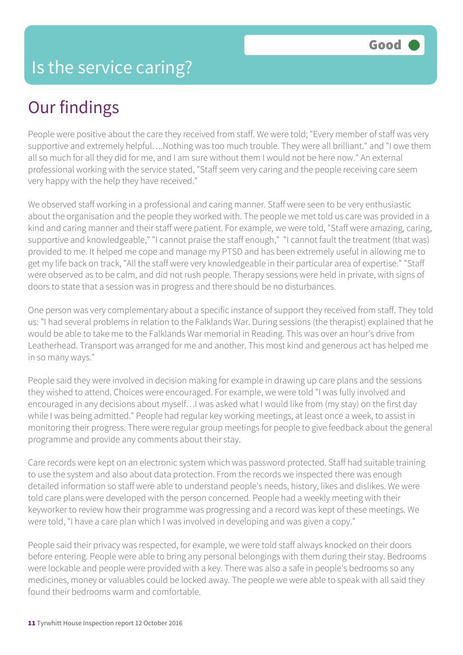# Our findings

People were positive about the care they received from staff. We were told; "Every member of staff was very supportive and extremely helpful….Nothing was too much trouble. They were all brilliant." and "I owe them all so much for all they did for me, and I am sure without them I would not be here now." An external professional working with the service stated, "Staff seem very caring and the people receiving care seem very happy with the help they have received."

We observed staff working in a professional and caring manner. Staff were seen to be very enthusiastic about the organisation and the people they worked with. The people we met told us care was provided in a kind and caring manner and their staff were patient. For example, we were told, "Staff were amazing, caring, supportive and knowledgeable," "I cannot praise the staff enough," "I cannot fault the treatment (that was) provided to me. It helped me cope and manage my PTSD and has been extremely useful in allowing me to get my life back on track, "All the staff were very knowledgeable in their particular area of expertise." "Staff were observed as to be calm, and did not rush people. Therapy sessions were held in private, with signs of doors to state that a session was in progress and there should be no disturbances.

One person was very complementary about a specific instance of support they received from staff. They told us: "I had several problems in relation to the Falklands War. During sessions (the therapist) explained that he would be able to take me to the Falklands War memorial in Reading. This was over an hour's drive from Leatherhead. Transport was arranged for me and another. This most kind and generous act has helped me in so many ways."

People said they were involved in decision making for example in drawing up care plans and the sessions they wished to attend. Choices were encouraged. For example, we were told "I was fully involved and encouraged in any decisions about myself…I was asked what I would like from (my stay) on the first day while I was being admitted." People had regular key working meetings, at least once a week, to assist in monitoring their progress. There were regular group meetings for people to give feedback about the general programme and provide any comments about their stay.

Care records were kept on an electronic system which was password protected. Staff had suitable training to use the system and also about data protection. From the records we inspected there was enough detailed information so staff were able to understand people's needs, history, likes and dislikes. We were told care plans were developed with the person concerned. People had a weekly meeting with their keyworker to review how their programme was progressing and a record was kept of these meetings. We were told, "I have a care plan which I was involved in developing and was given a copy."

People said their privacy was respected, for example, we were told staff always knocked on their doors before entering. People were able to bring any personal belongings with them during their stay. Bedrooms were lockable and people were provided with a key. There was also a safe in people's bedrooms so any medicines, money or valuables could be locked away. The people we were able to speak with all said they found their bedrooms warm and comfortable.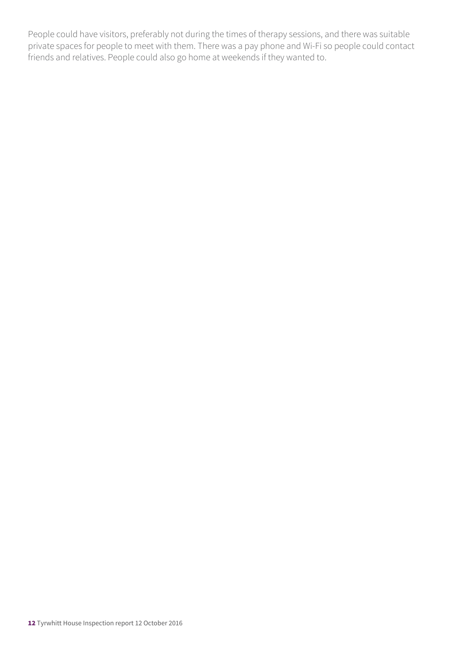People could have visitors, preferably not during the times of therapy sessions, and there was suitable private spaces for people to meet with them. There was a pay phone and Wi-Fi so people could contact friends and relatives. People could also go home at weekends if they wanted to.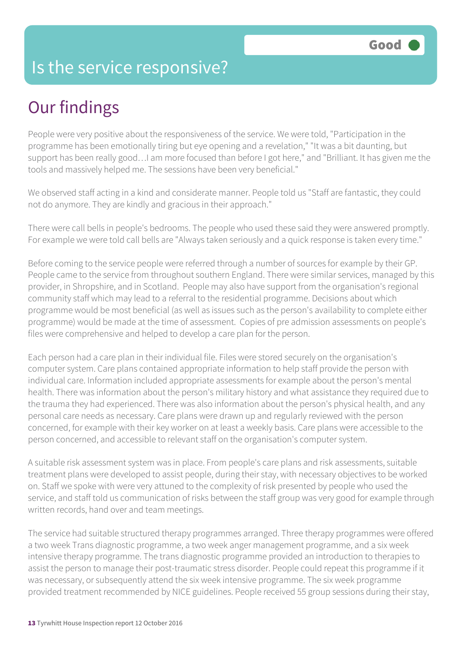# Is the service responsive?

# Our findings

People were very positive about the responsiveness of the service. We were told, "Participation in the programme has been emotionally tiring but eye opening and a revelation," "It was a bit daunting, but support has been really good…I am more focused than before I got here," and "Brilliant. It has given me the tools and massively helped me. The sessions have been very beneficial."

We observed staff acting in a kind and considerate manner. People told us "Staff are fantastic, they could not do anymore. They are kindly and gracious in their approach."

There were call bells in people's bedrooms. The people who used these said they were answered promptly. For example we were told call bells are "Always taken seriously and a quick response is taken every time."

Before coming to the service people were referred through a number of sources for example by their GP. People came to the service from throughout southern England. There were similar services, managed by this provider, in Shropshire, and in Scotland. People may also have support from the organisation's regional community staff which may lead to a referral to the residential programme. Decisions about which programme would be most beneficial (as well as issues such as the person's availability to complete either programme) would be made at the time of assessment. Copies of pre admission assessments on people's files were comprehensive and helped to develop a care plan for the person.

Each person had a care plan in their individual file. Files were stored securely on the organisation's computer system. Care plans contained appropriate information to help staff provide the person with individual care. Information included appropriate assessments for example about the person's mental health. There was information about the person's military history and what assistance they required due to the trauma they had experienced. There was also information about the person's physical health, and any personal care needs as necessary. Care plans were drawn up and regularly reviewed with the person concerned, for example with their key worker on at least a weekly basis. Care plans were accessible to the person concerned, and accessible to relevant staff on the organisation's computer system.

A suitable risk assessment system was in place. From people's care plans and risk assessments, suitable treatment plans were developed to assist people, during their stay, with necessary objectives to be worked on. Staff we spoke with were very attuned to the complexity of risk presented by people who used the service, and staff told us communication of risks between the staff group was very good for example through written records, hand over and team meetings.

The service had suitable structured therapy programmes arranged. Three therapy programmes were offered a two week Trans diagnostic programme, a two week anger management programme, and a six week intensive therapy programme. The trans diagnostic programme provided an introduction to therapies to assist the person to manage their post-traumatic stress disorder. People could repeat this programme if it was necessary, or subsequently attend the six week intensive programme. The six week programme provided treatment recommended by NICE guidelines. People received 55 group sessions during their stay,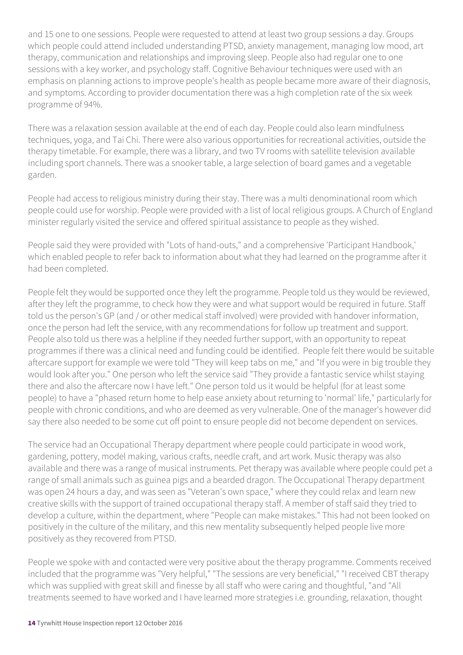and 15 one to one sessions. People were requested to attend at least two group sessions a day. Groups which people could attend included understanding PTSD, anxiety management, managing low mood, art therapy, communication and relationships and improving sleep. People also had regular one to one sessions with a key worker, and psychology staff. Cognitive Behaviour techniques were used with an emphasis on planning actions to improve people's health as people became more aware of their diagnosis, and symptoms. According to provider documentation there was a high completion rate of the six week programme of 94%.

There was a relaxation session available at the end of each day. People could also learn mindfulness techniques, yoga, and Tai Chi. There were also various opportunities for recreational activities, outside the therapy timetable. For example, there was a library, and two TV rooms with satellite television available including sport channels. There was a snooker table, a large selection of board games and a vegetable garden.

People had access to religious ministry during their stay. There was a multi denominational room which people could use for worship. People were provided with a list of local religious groups. A Church of England minister regularly visited the service and offered spiritual assistance to people as they wished.

People said they were provided with "Lots of hand-outs," and a comprehensive 'Participant Handbook,' which enabled people to refer back to information about what they had learned on the programme after it had been completed.

People felt they would be supported once they left the programme. People told us they would be reviewed, after they left the programme, to check how they were and what support would be required in future. Staff told us the person's GP (and / or other medical staff involved) were provided with handover information, once the person had left the service, with any recommendations for follow up treatment and support. People also told us there was a helpline if they needed further support, with an opportunity to repeat programmes if there was a clinical need and funding could be identified. People felt there would be suitable aftercare support for example we were told "They will keep tabs on me," and "If you were in big trouble they would look after you." One person who left the service said "They provide a fantastic service whilst staying there and also the aftercare now I have left." One person told us it would be helpful (for at least some people) to have a "phased return home to help ease anxiety about returning to 'normal' life," particularly for people with chronic conditions, and who are deemed as very vulnerable. One of the manager's however did say there also needed to be some cut off point to ensure people did not become dependent on services.

The service had an Occupational Therapy department where people could participate in wood work, gardening, pottery, model making, various crafts, needle craft, and art work. Music therapy was also available and there was a range of musical instruments. Pet therapy was available where people could pet a range of small animals such as guinea pigs and a bearded dragon. The Occupational Therapy department was open 24 hours a day, and was seen as "Veteran's own space," where they could relax and learn new creative skills with the support of trained occupational therapy staff. A member of staff said they tried to develop a culture, within the department, where "People can make mistakes." This had not been looked on positively in the culture of the military, and this new mentality subsequently helped people live more positively as they recovered from PTSD.

People we spoke with and contacted were very positive about the therapy programme. Comments received included that the programme was "Very helpful," "The sessions are very beneficial," "I received CBT therapy which was supplied with great skill and finesse by all staff who were caring and thoughtful, "and "All treatments seemed to have worked and I have learned more strategies i.e. grounding, relaxation, thought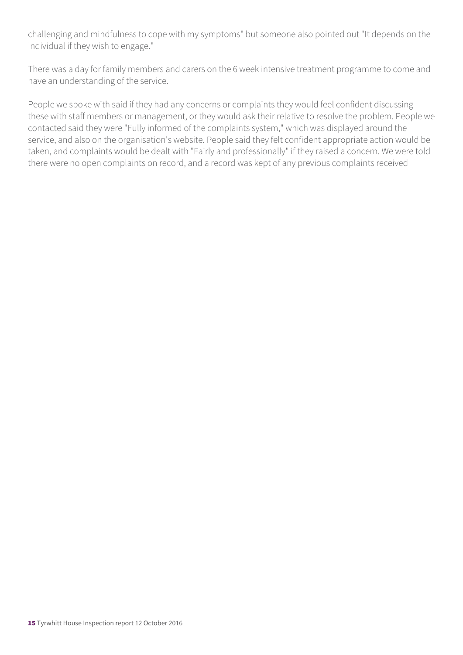challenging and mindfulness to cope with my symptoms" but someone also pointed out "It depends on the individual if they wish to engage."

There was a day for family members and carers on the 6 week intensive treatment programme to come and have an understanding of the service.

People we spoke with said if they had any concerns or complaints they would feel confident discussing these with staff members or management, or they would ask their relative to resolve the problem. People we contacted said they were "Fully informed of the complaints system," which was displayed around the service, and also on the organisation's website. People said they felt confident appropriate action would be taken, and complaints would be dealt with "Fairly and professionally" if they raised a concern. We were told there were no open complaints on record, and a record was kept of any previous complaints received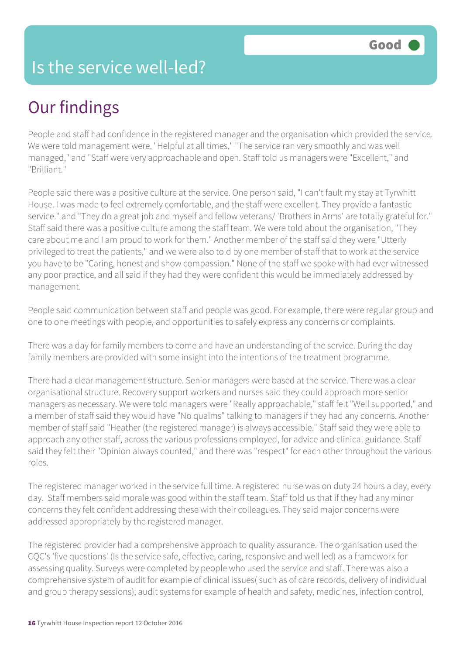## Is the service well-led?

# Our findings

People and staff had confidence in the registered manager and the organisation which provided the service. We were told management were, "Helpful at all times," "The service ran very smoothly and was well managed," and "Staff were very approachable and open. Staff told us managers were "Excellent," and "Brilliant."

People said there was a positive culture at the service. One person said, "I can't fault my stay at Tyrwhitt House. I was made to feel extremely comfortable, and the staff were excellent. They provide a fantastic service." and "They do a great job and myself and fellow veterans/ 'Brothers in Arms' are totally grateful for." Staff said there was a positive culture among the staff team. We were told about the organisation, "They care about me and I am proud to work for them." Another member of the staff said they were "Utterly privileged to treat the patients," and we were also told by one member of staff that to work at the service you have to be "Caring, honest and show compassion." None of the staff we spoke with had ever witnessed any poor practice, and all said if they had they were confident this would be immediately addressed by management.

People said communication between staff and people was good. For example, there were regular group and one to one meetings with people, and opportunities to safely express any concerns or complaints.

There was a day for family members to come and have an understanding of the service. During the day family members are provided with some insight into the intentions of the treatment programme.

There had a clear management structure. Senior managers were based at the service. There was a clear organisational structure. Recovery support workers and nurses said they could approach more senior managers as necessary. We were told managers were "Really approachable," staff felt "Well supported," and a member of staff said they would have "No qualms" talking to managers if they had any concerns. Another member of staff said "Heather (the registered manager) is always accessible." Staff said they were able to approach any other staff, across the various professions employed, for advice and clinical guidance. Staff said they felt their "Opinion always counted," and there was "respect" for each other throughout the various roles.

The registered manager worked in the service full time. A registered nurse was on duty 24 hours a day, every day. Staff members said morale was good within the staff team. Staff told us that if they had any minor concerns they felt confident addressing these with their colleagues. They said major concerns were addressed appropriately by the registered manager.

The registered provider had a comprehensive approach to quality assurance. The organisation used the CQC's 'five questions' (Is the service safe, effective, caring, responsive and well led) as a framework for assessing quality. Surveys were completed by people who used the service and staff. There was also a comprehensive system of audit for example of clinical issues( such as of care records, delivery of individual and group therapy sessions); audit systems for example of health and safety, medicines, infection control,